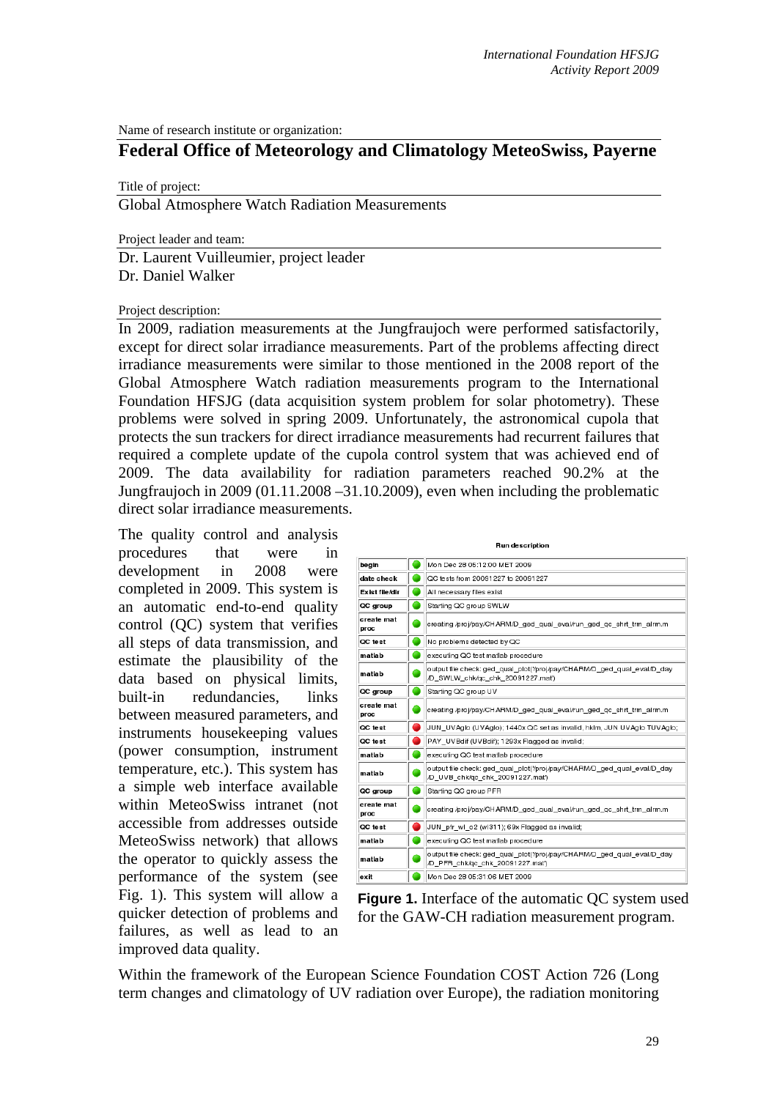Name of research institute or organization:

# **Federal Office of Meteorology and Climatology MeteoSwiss, Payerne**

Title of project:

Global Atmosphere Watch Radiation Measurements

Project leader and team:

Dr. Laurent Vuilleumier, project leader Dr. Daniel Walker

#### Project description:

In 2009, radiation measurements at the Jungfraujoch were performed satisfactorily, except for direct solar irradiance measurements. Part of the problems affecting direct irradiance measurements were similar to those mentioned in the 2008 report of the Global Atmosphere Watch radiation measurements program to the International Foundation HFSJG (data acquisition system problem for solar photometry). These problems were solved in spring 2009. Unfortunately, the astronomical cupola that protects the sun trackers for direct irradiance measurements had recurrent failures that required a complete update of the cupola control system that was achieved end of 2009. The data availability for radiation parameters reached 90.2% at the Jungfraujoch in 2009 (01.11.2008 –31.10.2009), even when including the problematic direct solar irradiance measurements.

The quality control and analysis procedures that were in development in 2008 were completed in 2009. This system is an automatic end-to-end quality control (QC) system that verifies all steps of data transmission, and estimate the plausibility of the data based on physical limits, built-in redundancies, links between measured parameters, and instruments housekeeping values (power consumption, instrument temperature, etc.). This system has a simple web interface available within MeteoSwiss intranet (not accessible from addresses outside MeteoSwiss network) that allows the operator to quickly assess the performance of the system (see Fig. 1). This system will allow a quicker detection of problems and failures, as well as lead to an improved data quality.



 **Figure 1.** Interface of the automatic QC system used for the GAW-CH radiation measurement program.

Within the framework of the European Science Foundation COST Action 726 (Long term changes and climatology of UV radiation over Europe), the radiation monitoring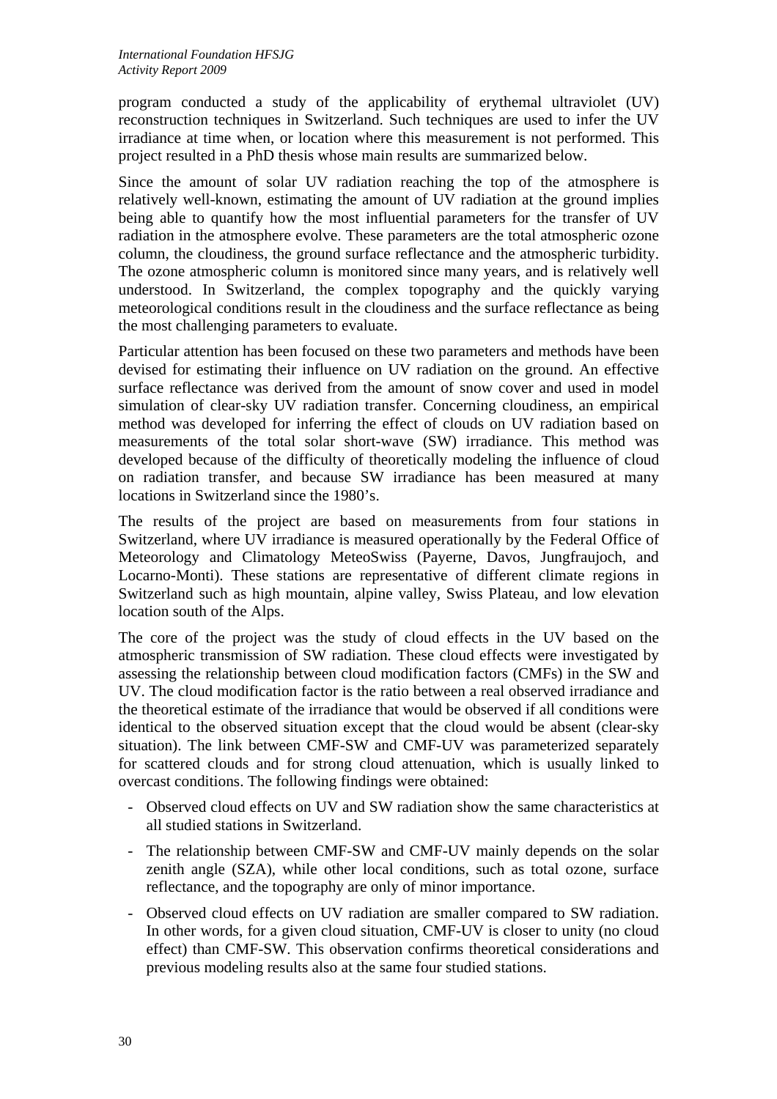program conducted a study of the applicability of erythemal ultraviolet (UV) reconstruction techniques in Switzerland. Such techniques are used to infer the UV irradiance at time when, or location where this measurement is not performed. This project resulted in a PhD thesis whose main results are summarized below.

Since the amount of solar UV radiation reaching the top of the atmosphere is relatively well-known, estimating the amount of UV radiation at the ground implies being able to quantify how the most influential parameters for the transfer of UV radiation in the atmosphere evolve. These parameters are the total atmospheric ozone column, the cloudiness, the ground surface reflectance and the atmospheric turbidity. The ozone atmospheric column is monitored since many years, and is relatively well understood. In Switzerland, the complex topography and the quickly varying meteorological conditions result in the cloudiness and the surface reflectance as being the most challenging parameters to evaluate.

Particular attention has been focused on these two parameters and methods have been devised for estimating their influence on UV radiation on the ground. An effective surface reflectance was derived from the amount of snow cover and used in model simulation of clear-sky UV radiation transfer. Concerning cloudiness, an empirical method was developed for inferring the effect of clouds on UV radiation based on measurements of the total solar short-wave (SW) irradiance. This method was developed because of the difficulty of theoretically modeling the influence of cloud on radiation transfer, and because SW irradiance has been measured at many locations in Switzerland since the 1980's.

The results of the project are based on measurements from four stations in Switzerland, where UV irradiance is measured operationally by the Federal Office of Meteorology and Climatology MeteoSwiss (Payerne, Davos, Jungfraujoch, and Locarno-Monti). These stations are representative of different climate regions in Switzerland such as high mountain, alpine valley, Swiss Plateau, and low elevation location south of the Alps.

The core of the project was the study of cloud effects in the UV based on the atmospheric transmission of SW radiation. These cloud effects were investigated by assessing the relationship between cloud modification factors (CMFs) in the SW and UV. The cloud modification factor is the ratio between a real observed irradiance and the theoretical estimate of the irradiance that would be observed if all conditions were identical to the observed situation except that the cloud would be absent (clear-sky situation). The link between CMF-SW and CMF-UV was parameterized separately for scattered clouds and for strong cloud attenuation, which is usually linked to overcast conditions. The following findings were obtained:

- Observed cloud effects on UV and SW radiation show the same characteristics at all studied stations in Switzerland.
- The relationship between CMF-SW and CMF-UV mainly depends on the solar zenith angle (SZA), while other local conditions, such as total ozone, surface reflectance, and the topography are only of minor importance.
- Observed cloud effects on UV radiation are smaller compared to SW radiation. In other words, for a given cloud situation, CMF-UV is closer to unity (no cloud effect) than CMF-SW. This observation confirms theoretical considerations and previous modeling results also at the same four studied stations.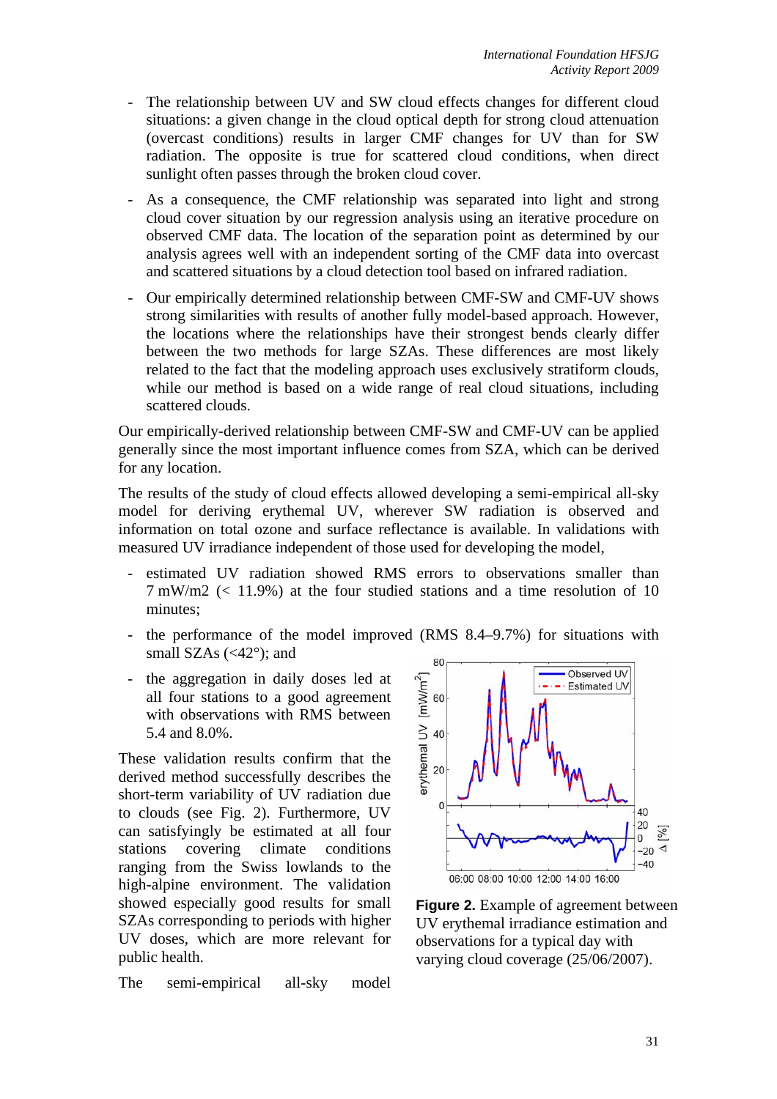- The relationship between UV and SW cloud effects changes for different cloud situations: a given change in the cloud optical depth for strong cloud attenuation (overcast conditions) results in larger CMF changes for UV than for SW radiation. The opposite is true for scattered cloud conditions, when direct sunlight often passes through the broken cloud cover.
- As a consequence, the CMF relationship was separated into light and strong cloud cover situation by our regression analysis using an iterative procedure on observed CMF data. The location of the separation point as determined by our analysis agrees well with an independent sorting of the CMF data into overcast and scattered situations by a cloud detection tool based on infrared radiation.
- Our empirically determined relationship between CMF-SW and CMF-UV shows strong similarities with results of another fully model-based approach. However, the locations where the relationships have their strongest bends clearly differ between the two methods for large SZAs. These differences are most likely related to the fact that the modeling approach uses exclusively stratiform clouds, while our method is based on a wide range of real cloud situations, including scattered clouds.

Our empirically-derived relationship between CMF-SW and CMF-UV can be applied generally since the most important influence comes from SZA, which can be derived for any location.

The results of the study of cloud effects allowed developing a semi-empirical all-sky model for deriving erythemal UV, wherever SW radiation is observed and information on total ozone and surface reflectance is available. In validations with measured UV irradiance independent of those used for developing the model,

- estimated UV radiation showed RMS errors to observations smaller than 7 mW/m2 (< 11.9%) at the four studied stations and a time resolution of 10 minutes;
- the performance of the model improved (RMS 8.4–9.7%) for situations with small SZAs  $\left\langle \langle 42^{\circ} \rangle \right\rangle$ ; and
- the aggregation in daily doses led at all four stations to a good agreement with observations with RMS between 5.4 and 8.0%.

These validation results confirm that the derived method successfully describes the short-term variability of UV radiation due to clouds (see Fig. 2). Furthermore, UV can satisfyingly be estimated at all four stations covering climate conditions ranging from the Swiss lowlands to the high-alpine environment. The validation showed especially good results for small SZAs corresponding to periods with higher UV doses, which are more relevant for public health.

The semi-empirical all-sky model



**Figure 2.** Example of agreement between UV erythemal irradiance estimation and observations for a typical day with varying cloud coverage (25/06/2007).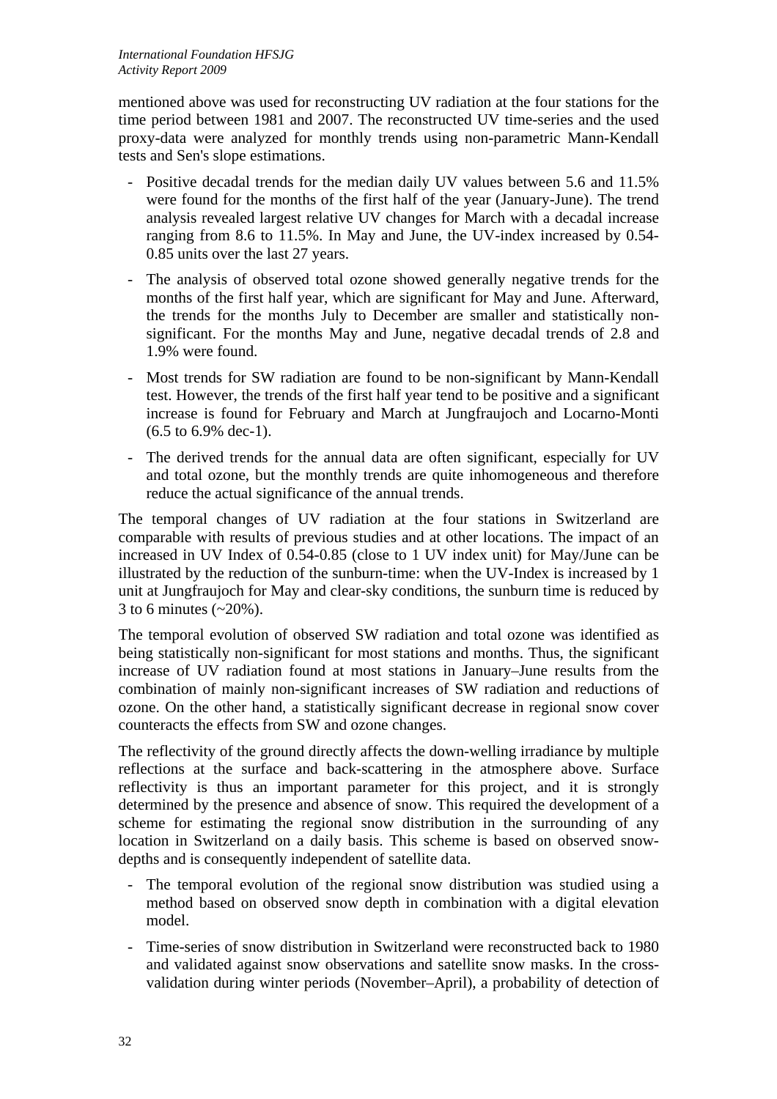mentioned above was used for reconstructing UV radiation at the four stations for the time period between 1981 and 2007. The reconstructed UV time-series and the used proxy-data were analyzed for monthly trends using non-parametric Mann-Kendall tests and Sen's slope estimations.

- Positive decadal trends for the median daily UV values between 5.6 and 11.5% were found for the months of the first half of the year (January-June). The trend analysis revealed largest relative UV changes for March with a decadal increase ranging from 8.6 to 11.5%. In May and June, the UV-index increased by 0.54- 0.85 units over the last 27 years.
- The analysis of observed total ozone showed generally negative trends for the months of the first half year, which are significant for May and June. Afterward, the trends for the months July to December are smaller and statistically nonsignificant. For the months May and June, negative decadal trends of 2.8 and 1.9% were found.
- Most trends for SW radiation are found to be non-significant by Mann-Kendall test. However, the trends of the first half year tend to be positive and a significant increase is found for February and March at Jungfraujoch and Locarno-Monti (6.5 to 6.9% dec-1).
- The derived trends for the annual data are often significant, especially for UV and total ozone, but the monthly trends are quite inhomogeneous and therefore reduce the actual significance of the annual trends.

The temporal changes of UV radiation at the four stations in Switzerland are comparable with results of previous studies and at other locations. The impact of an increased in UV Index of 0.54-0.85 (close to 1 UV index unit) for May/June can be illustrated by the reduction of the sunburn-time: when the UV-Index is increased by 1 unit at Jungfraujoch for May and clear-sky conditions, the sunburn time is reduced by 3 to 6 minutes  $(-20\%)$ .

The temporal evolution of observed SW radiation and total ozone was identified as being statistically non-significant for most stations and months. Thus, the significant increase of UV radiation found at most stations in January–June results from the combination of mainly non-significant increases of SW radiation and reductions of ozone. On the other hand, a statistically significant decrease in regional snow cover counteracts the effects from SW and ozone changes.

The reflectivity of the ground directly affects the down-welling irradiance by multiple reflections at the surface and back-scattering in the atmosphere above. Surface reflectivity is thus an important parameter for this project, and it is strongly determined by the presence and absence of snow. This required the development of a scheme for estimating the regional snow distribution in the surrounding of any location in Switzerland on a daily basis. This scheme is based on observed snowdepths and is consequently independent of satellite data.

- The temporal evolution of the regional snow distribution was studied using a method based on observed snow depth in combination with a digital elevation model.
- Time-series of snow distribution in Switzerland were reconstructed back to 1980 and validated against snow observations and satellite snow masks. In the crossvalidation during winter periods (November–April), a probability of detection of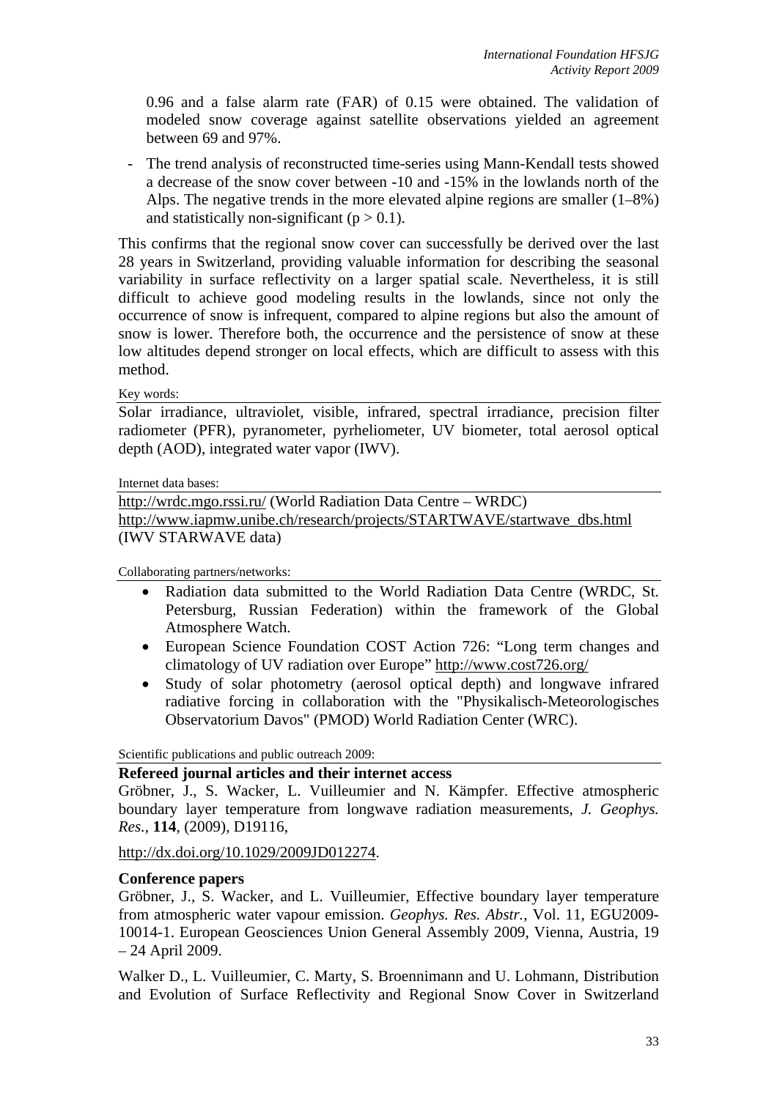0.96 and a false alarm rate (FAR) of 0.15 were obtained. The validation of modeled snow coverage against satellite observations yielded an agreement between 69 and 97%.

- The trend analysis of reconstructed time-series using Mann-Kendall tests showed a decrease of the snow cover between -10 and -15% in the lowlands north of the Alps. The negative trends in the more elevated alpine regions are smaller (1–8%) and statistically non-significant  $(p > 0.1)$ .

This confirms that the regional snow cover can successfully be derived over the last 28 years in Switzerland, providing valuable information for describing the seasonal variability in surface reflectivity on a larger spatial scale. Nevertheless, it is still difficult to achieve good modeling results in the lowlands, since not only the occurrence of snow is infrequent, compared to alpine regions but also the amount of snow is lower. Therefore both, the occurrence and the persistence of snow at these low altitudes depend stronger on local effects, which are difficult to assess with this method.

### Key words:

Solar irradiance, ultraviolet, visible, infrared, spectral irradiance, precision filter radiometer (PFR), pyranometer, pyrheliometer, UV biometer, total aerosol optical depth (AOD), integrated water vapor (IWV).

Internet data bases:

http://wrdc.mgo.rssi.ru/ (World Radiation Data Centre – WRDC) http://www.iapmw.unibe.ch/research/projects/STARTWAVE/startwave\_dbs.html (IWV STARWAVE data)

Collaborating partners/networks:

- Radiation data submitted to the World Radiation Data Centre (WRDC, St. Petersburg, Russian Federation) within the framework of the Global Atmosphere Watch.
- European Science Foundation COST Action 726: "Long term changes and climatology of UV radiation over Europe" http://www.cost726.org/
- Study of solar photometry (aerosol optical depth) and longwave infrared radiative forcing in collaboration with the "Physikalisch-Meteorologisches Observatorium Davos" (PMOD) World Radiation Center (WRC).

Scientific publications and public outreach 2009:

## **Refereed journal articles and their internet access**

Gröbner, J., S. Wacker, L. Vuilleumier and N. Kämpfer. Effective atmospheric boundary layer temperature from longwave radiation measurements, *J. Geophys. Res.*, **114**, (2009), D19116,

http://dx.doi.org/10.1029/2009JD012274.

### **Conference papers**

Gröbner, J., S. Wacker, and L. Vuilleumier, Effective boundary layer temperature from atmospheric water vapour emission. *Geophys. Res. Abstr.*, Vol. 11, EGU2009- 10014-1. European Geosciences Union General Assembly 2009, Vienna, Austria, 19 – 24 April 2009.

Walker D., L. Vuilleumier, C. Marty, S. Broennimann and U. Lohmann, Distribution and Evolution of Surface Reflectivity and Regional Snow Cover in Switzerland